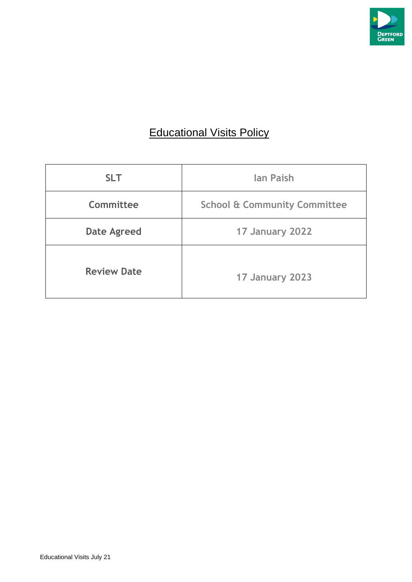

# **Educational Visits Policy**

| <b>SLT</b>         | <b>lan Paish</b>                        |
|--------------------|-----------------------------------------|
| Committee          | <b>School &amp; Community Committee</b> |
| <b>Date Agreed</b> | 17 January 2022                         |
| <b>Review Date</b> | 17 January 2023                         |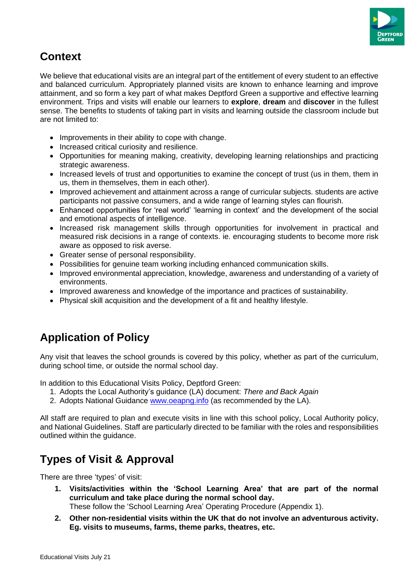

## **Context**

We believe that educational visits are an integral part of the entitlement of every student to an effective and balanced curriculum. Appropriately planned visits are known to enhance learning and improve attainment, and so form a key part of what makes Deptford Green a supportive and effective learning environment. Trips and visits will enable our learners to **explore**, **dream** and **discover** in the fullest sense. The benefits to students of taking part in visits and learning outside the classroom include but are not limited to:

- Improvements in their ability to cope with change.
- Increased critical curiosity and resilience.
- Opportunities for meaning making, creativity, developing learning relationships and practicing strategic awareness.
- Increased levels of trust and opportunities to examine the concept of trust (us in them, them in us, them in themselves, them in each other).
- Improved achievement and attainment across a range of curricular subjects. students are active participants not passive consumers, and a wide range of learning styles can flourish.
- Enhanced opportunities for 'real world' 'learning in context' and the development of the social and emotional aspects of intelligence.
- Increased risk management skills through opportunities for involvement in practical and measured risk decisions in a range of contexts. ie. encouraging students to become more risk aware as opposed to risk averse.
- Greater sense of personal responsibility.
- Possibilities for genuine team working including enhanced communication skills.
- Improved environmental appreciation, knowledge, awareness and understanding of a variety of environments.
- Improved awareness and knowledge of the importance and practices of sustainability.
- Physical skill acquisition and the development of a fit and healthy lifestyle.

## **Application of Policy**

Any visit that leaves the school grounds is covered by this policy, whether as part of the curriculum, during school time, or outside the normal school day.

In addition to this Educational Visits Policy, Deptford Green:

- 1. Adopts the Local Authority's guidance (LA) document: *There and Back Again*
- 2. Adopts National Guidance [www.oeapng.info](http://www.oeapng.info/) (as recommended by the LA).

All staff are required to plan and execute visits in line with this school policy, Local Authority policy, and National Guidelines. Staff are particularly directed to be familiar with the roles and responsibilities outlined within the guidance.

## **Types of Visit & Approval**

There are three 'types' of visit:

- **1. Visits/activities within the 'School Learning Area' that are part of the normal curriculum and take place during the normal school day.** These follow the 'School Learning Area' Operating Procedure (Appendix 1).
- **2. Other non-residential visits within the UK that do not involve an adventurous activity. Eg. visits to museums, farms, theme parks, theatres, etc.**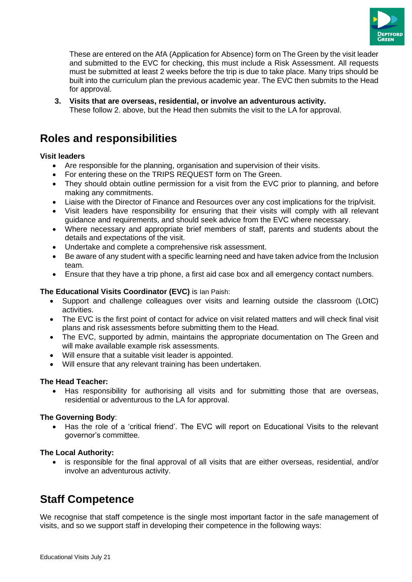

These are entered on the AfA (Application for Absence) form on The Green by the visit leader and submitted to the EVC for checking, this must include a Risk Assessment. All requests must be submitted at least 2 weeks before the trip is due to take place. Many trips should be built into the curriculum plan the previous academic year. The EVC then submits to the Head for approval.

**3. Visits that are overseas, residential, or involve an adventurous activity.** These follow 2. above, but the Head then submits the visit to the LA for approval.

## **Roles and responsibilities**

#### **Visit leaders**

- Are responsible for the planning, organisation and supervision of their visits.
- For entering these on the TRIPS REQUEST form on The Green.
- They should obtain outline permission for a visit from the EVC prior to planning, and before making any commitments.
- Liaise with the Director of Finance and Resources over any cost implications for the trip/visit.
- Visit leaders have responsibility for ensuring that their visits will comply with all relevant guidance and requirements, and should seek advice from the EVC where necessary.
- Where necessary and appropriate brief members of staff, parents and students about the details and expectations of the visit.
- Undertake and complete a comprehensive risk assessment.
- Be aware of any student with a specific learning need and have taken advice from the Inclusion team.
- Ensure that they have a trip phone, a first aid case box and all emergency contact numbers.

#### **The Educational Visits Coordinator (EVC)** is Ian Paish:

- Support and challenge colleagues over visits and learning outside the classroom (LOtC) activities.
- The EVC is the first point of contact for advice on visit related matters and will check final visit plans and risk assessments before submitting them to the Head.
- The EVC, supported by admin, maintains the appropriate documentation on The Green and will make available example risk assessments.
- Will ensure that a suitable visit leader is appointed.
- Will ensure that any relevant training has been undertaken.

#### **The Head Teacher:**

• Has responsibility for authorising all visits and for submitting those that are overseas, residential or adventurous to the LA for approval.

#### **The Governing Body**:

• Has the role of a 'critical friend'. The EVC will report on Educational Visits to the relevant governor's committee.

#### **The Local Authority:**

• is responsible for the final approval of all visits that are either overseas, residential, and/or involve an adventurous activity.

## **Staff Competence**

We recognise that staff competence is the single most important factor in the safe management of visits, and so we support staff in developing their competence in the following ways: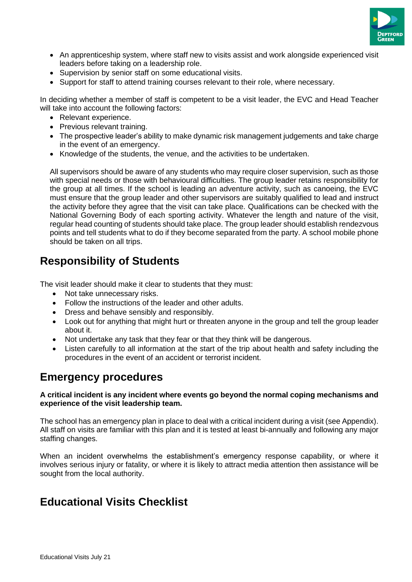

- An apprenticeship system, where staff new to visits assist and work alongside experienced visit leaders before taking on a leadership role.
- Supervision by senior staff on some educational visits.
- Support for staff to attend training courses relevant to their role, where necessary.

In deciding whether a member of staff is competent to be a visit leader, the EVC and Head Teacher will take into account the following factors:

- Relevant experience.
- Previous relevant training.
- The prospective leader's ability to make dynamic risk management judgements and take charge in the event of an emergency.
- Knowledge of the students, the venue, and the activities to be undertaken.

All supervisors should be aware of any students who may require closer supervision, such as those with special needs or those with behavioural difficulties. The group leader retains responsibility for the group at all times. If the school is leading an adventure activity, such as canoeing, the EVC must ensure that the group leader and other supervisors are suitably qualified to lead and instruct the activity before they agree that the visit can take place. Qualifications can be checked with the National Governing Body of each sporting activity. Whatever the length and nature of the visit, regular head counting of students should take place. The group leader should establish rendezvous points and tell students what to do if they become separated from the party. A school mobile phone should be taken on all trips.

## **Responsibility of Students**

The visit leader should make it clear to students that they must:

- Not take unnecessary risks.
- Follow the instructions of the leader and other adults.
- Dress and behave sensibly and responsibly.
- Look out for anything that might hurt or threaten anyone in the group and tell the group leader about it.
- Not undertake any task that they fear or that they think will be dangerous.
- Listen carefully to all information at the start of the trip about health and safety including the procedures in the event of an accident or terrorist incident.

### **Emergency procedures**

#### **A critical incident is any incident where events go beyond the normal coping mechanisms and experience of the visit leadership team.**

The school has an emergency plan in place to deal with a critical incident during a visit (see Appendix). All staff on visits are familiar with this plan and it is tested at least bi-annually and following any major staffing changes.

When an incident overwhelms the establishment's emergency response capability, or where it involves serious injury or fatality, or where it is likely to attract media attention then assistance will be sought from the local authority.

## **Educational Visits Checklist**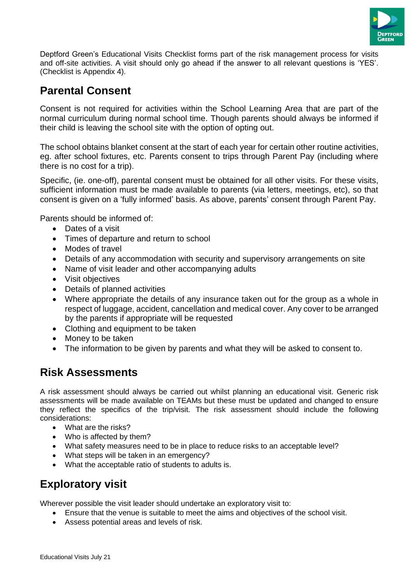

Deptford Green's Educational Visits Checklist forms part of the risk management process for visits and off-site activities. A visit should only go ahead if the answer to all relevant questions is 'YES'. (Checklist is Appendix 4).

## **Parental Consent**

Consent is not required for activities within the School Learning Area that are part of the normal curriculum during normal school time. Though parents should always be informed if their child is leaving the school site with the option of opting out.

The school obtains blanket consent at the start of each year for certain other routine activities, eg. after school fixtures, etc. Parents consent to trips through Parent Pay (including where there is no cost for a trip).

Specific, (ie. one-off), parental consent must be obtained for all other visits. For these visits, sufficient information must be made available to parents (via letters, meetings, etc), so that consent is given on a 'fully informed' basis. As above, parents' consent through Parent Pay.

Parents should be informed of:

- Dates of a visit
- Times of departure and return to school
- Modes of travel
- Details of any accommodation with security and supervisory arrangements on site
- Name of visit leader and other accompanying adults
- Visit objectives
- Details of planned activities
- Where appropriate the details of any insurance taken out for the group as a whole in respect of luggage, accident, cancellation and medical cover. Any cover to be arranged by the parents if appropriate will be requested
- Clothing and equipment to be taken
- Money to be taken
- The information to be given by parents and what they will be asked to consent to.

### **Risk Assessments**

A risk assessment should always be carried out whilst planning an educational visit. Generic risk assessments will be made available on TEAMs but these must be updated and changed to ensure they reflect the specifics of the trip/visit. The risk assessment should include the following considerations:

- What are the risks?
- Who is affected by them?
- What safety measures need to be in place to reduce risks to an acceptable level?
- What steps will be taken in an emergency?
- What the acceptable ratio of students to adults is.

## **Exploratory visit**

Wherever possible the visit leader should undertake an exploratory visit to:

- Ensure that the venue is suitable to meet the aims and objectives of the school visit.
- Assess potential areas and levels of risk.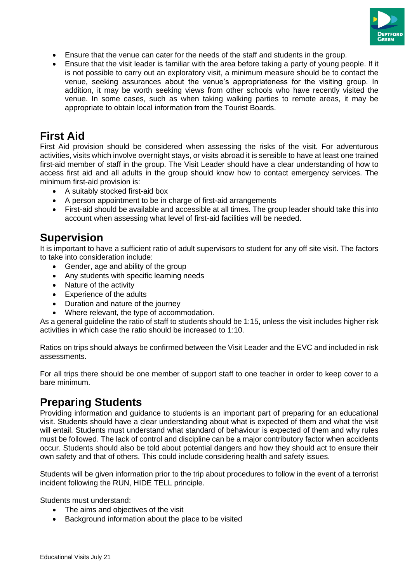

- Ensure that the venue can cater for the needs of the staff and students in the group.
- Ensure that the visit leader is familiar with the area before taking a party of young people. If it is not possible to carry out an exploratory visit, a minimum measure should be to contact the venue, seeking assurances about the venue's appropriateness for the visiting group. In addition, it may be worth seeking views from other schools who have recently visited the venue. In some cases, such as when taking walking parties to remote areas, it may be appropriate to obtain local information from the Tourist Boards.

### **First Aid**

First Aid provision should be considered when assessing the risks of the visit. For adventurous activities, visits which involve overnight stays, or visits abroad it is sensible to have at least one trained first-aid member of staff in the group. The Visit Leader should have a clear understanding of how to access first aid and all adults in the group should know how to contact emergency services. The minimum first-aid provision is:

- A suitably stocked first-aid box
- A person appointment to be in charge of first-aid arrangements
- First-aid should be available and accessible at all times. The group leader should take this into account when assessing what level of first-aid facilities will be needed.

### **Supervision**

It is important to have a sufficient ratio of adult supervisors to student for any off site visit. The factors to take into consideration include:

- Gender, age and ability of the group
- Any students with specific learning needs
- Nature of the activity
- Experience of the adults
- Duration and nature of the journey
- Where relevant, the type of accommodation.

As a general guideline the ratio of staff to students should be 1:15, unless the visit includes higher risk activities in which case the ratio should be increased to 1:10.

Ratios on trips should always be confirmed between the Visit Leader and the EVC and included in risk assessments.

For all trips there should be one member of support staff to one teacher in order to keep cover to a bare minimum.

### **Preparing Students**

Providing information and guidance to students is an important part of preparing for an educational visit. Students should have a clear understanding about what is expected of them and what the visit will entail. Students must understand what standard of behaviour is expected of them and why rules must be followed. The lack of control and discipline can be a major contributory factor when accidents occur. Students should also be told about potential dangers and how they should act to ensure their own safety and that of others. This could include considering health and safety issues.

Students will be given information prior to the trip about procedures to follow in the event of a terrorist incident following the RUN, HIDE TELL principle.

Students must understand:

- The aims and objectives of the visit
- Background information about the place to be visited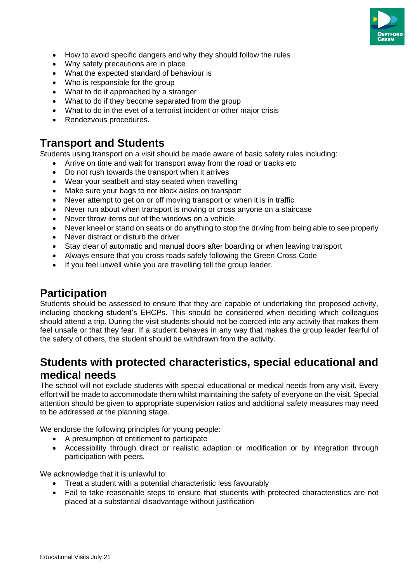

- How to avoid specific dangers and why they should follow the rules
- Why safety precautions are in place
- What the expected standard of behaviour is
- Who is responsible for the group
- What to do if approached by a stranger
- What to do if they become separated from the group
- What to do in the evet of a terrorist incident or other major crisis
- Rendezvous procedures.

### **Transport and Students**

Students using transport on a visit should be made aware of basic safety rules including:

- Arrive on time and wait for transport away from the road or tracks etc
- Do not rush towards the transport when it arrives
- Wear your seatbelt and stay seated when travelling
- Make sure your bags to not block aisles on transport
- Never attempt to get on or off moving transport or when it is in traffic
- Never run about when transport is moving or cross anyone on a staircase
- Never throw items out of the windows on a vehicle
- Never kneel or stand on seats or do anything to stop the driving from being able to see properly
- Never distract or disturb the driver
- Stay clear of automatic and manual doors after boarding or when leaving transport
- Always ensure that you cross roads safely following the Green Cross Code
- If you feel unwell while you are travelling tell the group leader.

### **Participation**

Students should be assessed to ensure that they are capable of undertaking the proposed activity, including checking student's EHCPs. This should be considered when deciding which colleagues should attend a trip. During the visit students should not be coerced into any activity that makes them feel unsafe or that they fear. If a student behaves in any way that makes the group leader fearful of the safety of others, the student should be withdrawn from the activity.

### **Students with protected characteristics, special educational and medical needs**

The school will not exclude students with special educational or medical needs from any visit. Every effort will be made to accommodate them whilst maintaining the safety of everyone on the visit. Special attention should be given to appropriate supervision ratios and additional safety measures may need to be addressed at the planning stage.

We endorse the following principles for young people:

- A presumption of entitlement to participate
- Accessibility through direct or realistic adaption or modification or by integration through participation with peers.

We acknowledge that it is unlawful to:

- Treat a student with a potential characteristic less favourably
- Fail to take reasonable steps to ensure that students with protected characteristics are not placed at a substantial disadvantage without justification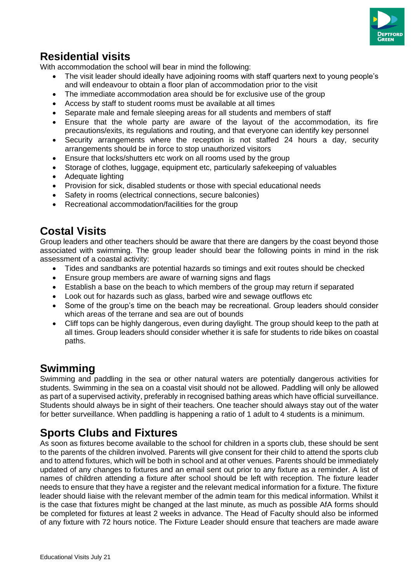

## **Residential visits**

With accommodation the school will bear in mind the following:

- The visit leader should ideally have adjoining rooms with staff quarters next to young people's and will endeavour to obtain a floor plan of accommodation prior to the visit
- The immediate accommodation area should be for exclusive use of the group
- Access by staff to student rooms must be available at all times
- Separate male and female sleeping areas for all students and members of staff
- Ensure that the whole party are aware of the layout of the accommodation, its fire precautions/exits, its regulations and routing, and that everyone can identify key personnel
- Security arrangements where the reception is not staffed 24 hours a day, security arrangements should be in force to stop unauthorized visitors
- Ensure that locks/shutters etc work on all rooms used by the group
- Storage of clothes, luggage, equipment etc, particularly safekeeping of valuables
- Adequate lighting
- Provision for sick, disabled students or those with special educational needs
- Safety in rooms (electrical connections, secure balconies)
- Recreational accommodation/facilities for the group

## **Costal Visits**

Group leaders and other teachers should be aware that there are dangers by the coast beyond those associated with swimming. The group leader should bear the following points in mind in the risk assessment of a coastal activity:

- Tides and sandbanks are potential hazards so timings and exit routes should be checked
- Ensure group members are aware of warning signs and flags
- Establish a base on the beach to which members of the group may return if separated
- Look out for hazards such as glass, barbed wire and sewage outflows etc
- Some of the group's time on the beach may be recreational. Group leaders should consider which areas of the terrane and sea are out of bounds
- Cliff tops can be highly dangerous, even during daylight. The group should keep to the path at all times. Group leaders should consider whether it is safe for students to ride bikes on coastal paths.

## **Swimming**

Swimming and paddling in the sea or other natural waters are potentially dangerous activities for students. Swimming in the sea on a coastal visit should not be allowed. Paddling will only be allowed as part of a supervised activity, preferably in recognised bathing areas which have official surveillance. Students should always be in sight of their teachers. One teacher should always stay out of the water for better surveillance. When paddling is happening a ratio of 1 adult to 4 students is a minimum.

## **Sports Clubs and Fixtures**

As soon as fixtures become available to the school for children in a sports club, these should be sent to the parents of the children involved. Parents will give consent for their child to attend the sports club and to attend fixtures, which will be both in school and at other venues. Parents should be immediately updated of any changes to fixtures and an email sent out prior to any fixture as a reminder. A list of names of children attending a fixture after school should be left with reception. The fixture leader needs to ensure that they have a register and the relevant medical information for a fixture. The fixture leader should liaise with the relevant member of the admin team for this medical information. Whilst it is the case that fixtures might be changed at the last minute, as much as possible AfA forms should be completed for fixtures at least 2 weeks in advance. The Head of Faculty should also be informed of any fixture with 72 hours notice. The Fixture Leader should ensure that teachers are made aware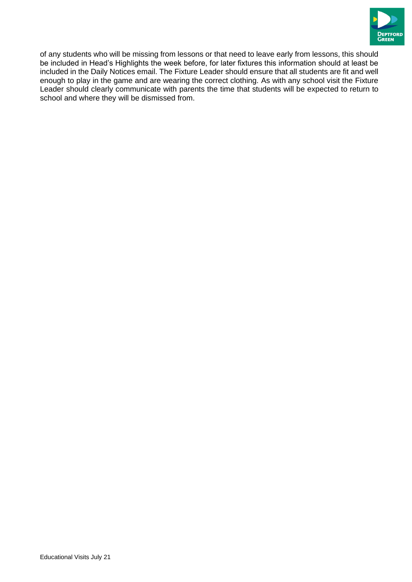

of any students who will be missing from lessons or that need to leave early from lessons, this should be included in Head's Highlights the week before, for later fixtures this information should at least be included in the Daily Notices email. The Fixture Leader should ensure that all students are fit and well enough to play in the game and are wearing the correct clothing. As with any school visit the Fixture Leader should clearly communicate with parents the time that students will be expected to return to school and where they will be dismissed from.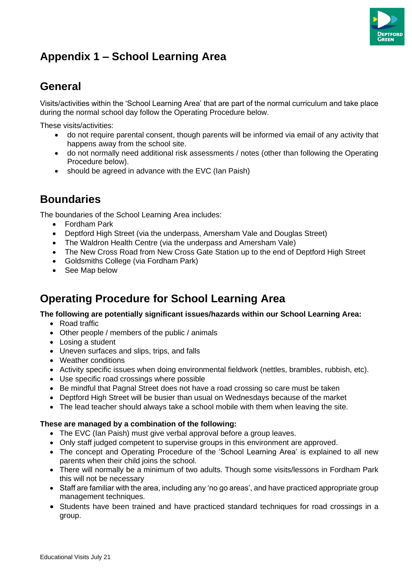

## **Appendix 1 – School Learning Area**

## **General**

Visits/activities within the 'School Learning Area' that are part of the normal curriculum and take place during the normal school day follow the Operating Procedure below.

These visits/activities:

- do not require parental consent, though parents will be informed via email of any activity that happens away from the school site.
- do not normally need additional risk assessments / notes (other than following the Operating Procedure below).
- should be agreed in advance with the EVC (Ian Paish)

## **Boundaries**

The boundaries of the School Learning Area includes:

- Fordham Park
- Deptford High Street (via the underpass, Amersham Vale and Douglas Street)
- The Waldron Health Centre (via the underpass and Amersham Vale)
- The New Cross Road from New Cross Gate Station up to the end of Deptford High Street
- Goldsmiths College (via Fordham Park)
- See Map below

## **Operating Procedure for School Learning Area**

#### **The following are potentially significant issues/hazards within our School Learning Area:**

- Road traffic
- Other people / members of the public / animals
- Losing a student
- Uneven surfaces and slips, trips, and falls
- Weather conditions
- Activity specific issues when doing environmental fieldwork (nettles, brambles, rubbish, etc).
- Use specific road crossings where possible
- Be mindful that Pagnal Street does not have a road crossing so care must be taken
- Deptford High Street will be busier than usual on Wednesdays because of the market
- The lead teacher should always take a school mobile with them when leaving the site.

#### **These are managed by a combination of the following:**

- The EVC (Ian Paish) must give verbal approval before a group leaves.
- Only staff judged competent to supervise groups in this environment are approved.
- The concept and Operating Procedure of the 'School Learning Area' is explained to all new parents when their child joins the school.
- There will normally be a minimum of two adults. Though some visits/lessons in Fordham Park this will not be necessary
- Staff are familiar with the area, including any 'no go areas', and have practiced appropriate group management techniques.
- Students have been trained and have practiced standard techniques for road crossings in a group.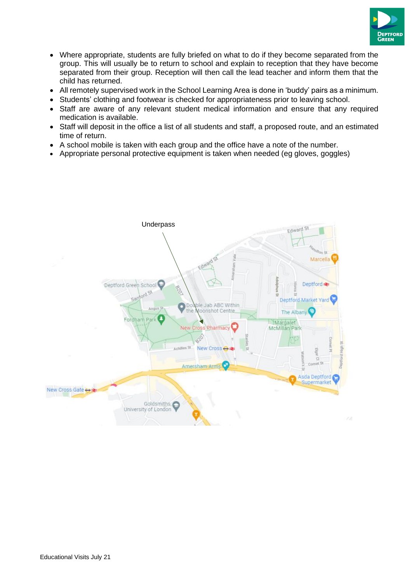

- Where appropriate, students are fully briefed on what to do if they become separated from the group. This will usually be to return to school and explain to reception that they have become separated from their group. Reception will then call the lead teacher and inform them that the child has returned.
- All remotely supervised work in the School Learning Area is done in 'buddy' pairs as a minimum.
- Students' clothing and footwear is checked for appropriateness prior to leaving school.
- Staff are aware of any relevant student medical information and ensure that any required medication is available.
- Staff will deposit in the office a list of all students and staff, a proposed route, and an estimated time of return.
- A school mobile is taken with each group and the office have a note of the number.
- Appropriate personal protective equipment is taken when needed (eg gloves, goggles)

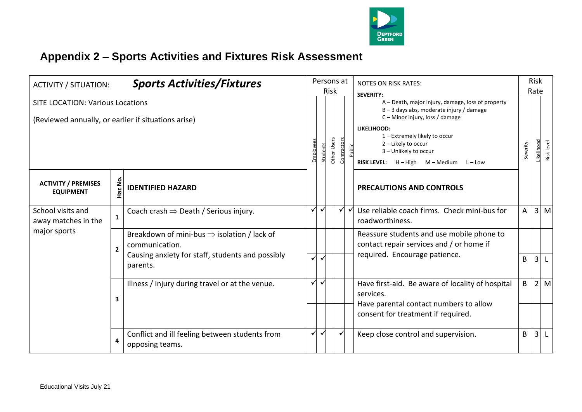

## **Appendix 2 – Sports Activities and Fixtures Risk Assessment**

| <b>ACTIVITY / SITUATION:</b>                                                                   |                | <b>Sports Activities/Fixtures</b>                                                                                                         |                 | Persons at<br>Risk |             |              |       | <b>NOTES ON RISK RATES:</b><br><b>SEVERITY:</b>                                                                                                                                                                                                                                  |              |                | <b>Risk</b><br>Rate     |  |
|------------------------------------------------------------------------------------------------|----------------|-------------------------------------------------------------------------------------------------------------------------------------------|-----------------|--------------------|-------------|--------------|-------|----------------------------------------------------------------------------------------------------------------------------------------------------------------------------------------------------------------------------------------------------------------------------------|--------------|----------------|-------------------------|--|
| <b>SITE LOCATION: Various Locations</b><br>(Reviewed annually, or earlier if situations arise) |                |                                                                                                                                           | <b>Employee</b> | Students           | Other Users | Contractors  | ublic | A - Death, major injury, damage, loss of property<br>B-3 days abs, moderate injury / damage<br>C - Minor injury, loss / damage<br><b>LIKELIHOOD:</b><br>1 - Extremely likely to occur<br>2 - Likely to occur<br>3 - Unlikely to occur<br>RISK LEVEL: H - High M - Medium L - Low | Severity     |                | ikelihood<br>Risk level |  |
| <b>ACTIVITY / PREMISES</b><br><b>EQUIPMENT</b>                                                 | Haz No.        | <b>IDENTIFIED HAZARD</b>                                                                                                                  |                 |                    |             |              |       | <b>PRECAUTIONS AND CONTROLS</b>                                                                                                                                                                                                                                                  |              |                |                         |  |
| School visits and<br>away matches in the                                                       | $\mathbf{1}$   | Coach crash $\Rightarrow$ Death / Serious injury.                                                                                         | ✓               | $\checkmark$       |             | $\checkmark$ |       | Use reliable coach firms. Check mini-bus for<br>roadworthiness.                                                                                                                                                                                                                  | A            |                | $3 \, M$                |  |
| major sports                                                                                   | $\overline{2}$ | Breakdown of mini-bus $\Rightarrow$ isolation / lack of<br>communication.<br>Causing anxiety for staff, students and possibly<br>parents. | $\checkmark$    |                    |             |              |       | Reassure students and use mobile phone to<br>contact repair services and / or home if<br>required. Encourage patience.                                                                                                                                                           | B            | 3 <sup>l</sup> |                         |  |
|                                                                                                | 3              | Illness / injury during travel or at the venue.                                                                                           | $\checkmark$    | $\checkmark$       |             |              |       | Have first-aid. Be aware of locality of hospital<br>services.<br>Have parental contact numbers to allow<br>consent for treatment if required.                                                                                                                                    | $\mathsf{B}$ | 2 <sup>1</sup> | M                       |  |
|                                                                                                | 4              | Conflict and ill feeling between students from<br>opposing teams.                                                                         | $\checkmark$    | $\checkmark$       |             | $\checkmark$ |       | Keep close control and supervision.                                                                                                                                                                                                                                              | B            | $\overline{3}$ |                         |  |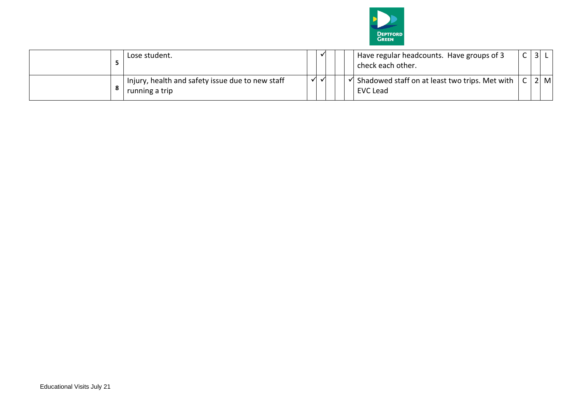

| Lose student.                                                      | $\checkmark$ |  | Have regular headcounts. Have groups of 3<br>check each other.    | $\overline{3}$ |     |
|--------------------------------------------------------------------|--------------|--|-------------------------------------------------------------------|----------------|-----|
| Injury, health and safety issue due to new staff<br>running a trip |              |  | Shadowed staff on at least two trips. Met with<br><b>EVC Lead</b> |                | 2 M |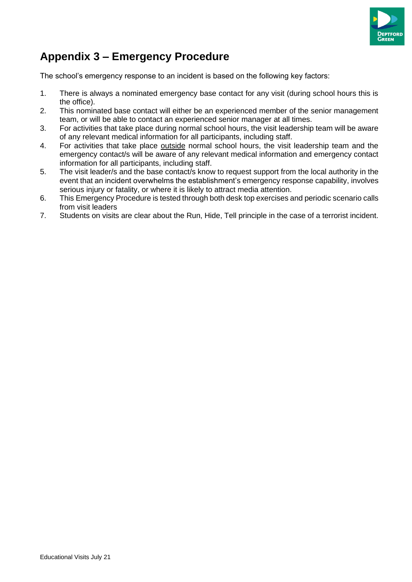

## **Appendix 3 – Emergency Procedure**

The school's emergency response to an incident is based on the following key factors:

- 1. There is always a nominated emergency base contact for any visit (during school hours this is the office).
- 2. This nominated base contact will either be an experienced member of the senior management team, or will be able to contact an experienced senior manager at all times.
- 3. For activities that take place during normal school hours, the visit leadership team will be aware of any relevant medical information for all participants, including staff.
- 4. For activities that take place outside normal school hours, the visit leadership team and the emergency contact/s will be aware of any relevant medical information and emergency contact information for all participants, including staff.
- 5. The visit leader/s and the base contact/s know to request support from the local authority in the event that an incident overwhelms the establishment's emergency response capability, involves serious injury or fatality, or where it is likely to attract media attention.
- 6. This Emergency Procedure is tested through both desk top exercises and periodic scenario calls from visit leaders
- 7. Students on visits are clear about the Run, Hide, Tell principle in the case of a terrorist incident.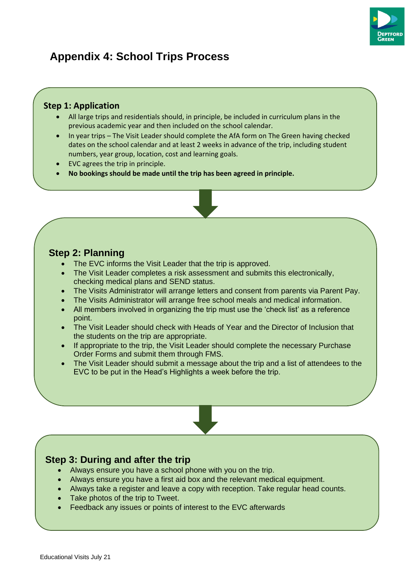

## **Appendix 4: School Trips Process**

#### **Step 1: Application**

- All large trips and residentials should, in principle, be included in curriculum plans in the previous academic year and then included on the school calendar.
- In year trips The Visit Leader should complete the AfA form on The Green having checked dates on the school calendar and at least 2 weeks in advance of the trip, including student numbers, year group, location, cost and learning goals.
- EVC agrees the trip in principle.
- **No bookings should be made until the trip has been agreed in principle.**

#### **Step 2: Planning**

- The EVC informs the Visit Leader that the trip is approved.
- The Visit Leader completes a risk assessment and submits this electronically, checking medical plans and SEND status.
- The Visits Administrator will arrange letters and consent from parents via Parent Pay.
- The Visits Administrator will arrange free school meals and medical information.
- All members involved in organizing the trip must use the 'check list' as a reference point.
- The Visit Leader should check with Heads of Year and the Director of Inclusion that the students on the trip are appropriate.
- If appropriate to the trip, the Visit Leader should complete the necessary Purchase Order Forms and submit them through FMS.
- The Visit Leader should submit a message about the trip and a list of attendees to the EVC to be put in the Head's Highlights a week before the trip.

### **Step 3: During and after the trip**

- Always ensure you have a school phone with you on the trip.
- Always ensure you have a first aid box and the relevant medical equipment.
- Always take a register and leave a copy with reception. Take regular head counts.
- Take photos of the trip to Tweet.
- Feedback any issues or points of interest to the EVC afterwards